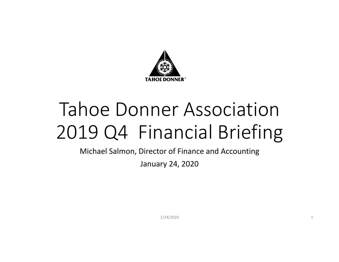

# Tahoe Donner Association2019 Q4 Financial Briefing

Michael Salmon, Director of Finance and Accounting

January 24, 2020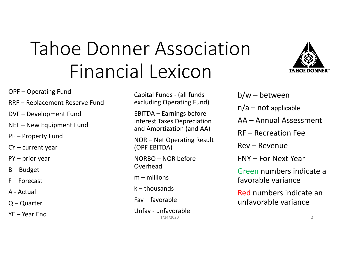# Tahoe Donner Association Financial Lexicon



- OPF Operating Fund
- RRF Replacement Reserve Fund
- DVF Development Fund
- NEF New Equipment Fund
- PF Property Fund
- CY current year
- PY prior year
- B Budget
- F Forecast
- A ‐ Actual
- Q Quarter
- YE Year End

Capital Funds ‐ (all funds excluding Operating Fund)

EBITDA – Earnings before Interest Taxes Depreciation and Amortization (and AA)

NOR – Net Operating Result (OPF EBITDA)

NORBO – NOR before Overhead

m – millions

k – thousands

Fav – favorable

 $1/24/2020$  2 Unfav ‐ unfavorable

b/w – between

- $n/a$  not applicable
- AA Annual Assessment
- RF Recreation Fee

Rev – Revenue

FNY – For Next Year

Green numbers indicate afavorable variance

Red numbers indicate an unfavorable variance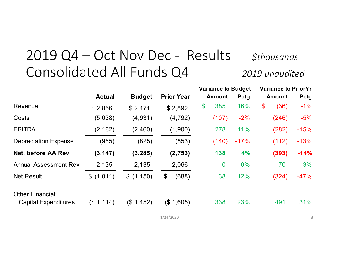## 2019 Q4 – Oct Nov Dec - Results sthousands Consolidated All Funds Q4 *<sup>2019</sup> unaudited*

|                              |               |               |                   | <b>Variance to Budget</b> |          |             | <b>Variance to PriorYr</b> |       |             |
|------------------------------|---------------|---------------|-------------------|---------------------------|----------|-------------|----------------------------|-------|-------------|
|                              | <b>Actual</b> | <b>Budget</b> | <b>Prior Year</b> | <b>Amount</b>             |          | <b>Pctg</b> | <b>Amount</b>              |       | <b>Pctg</b> |
| Revenue                      | \$2,856       | \$2,471       | \$2,892           | \$                        | 385      | 16%         | $\boldsymbol{\$}$          | (36)  | $-1%$       |
| Costs                        | (5,038)       | (4,931)       | (4, 792)          |                           | (107)    | $-2%$       |                            | (246) | $-5%$       |
| <b>EBITDA</b>                | (2, 182)      | (2,460)       | (1,900)           |                           | 278      | 11%         |                            | (282) | $-15%$      |
| <b>Depreciation Expense</b>  | (965)         | (825)         | (853)             |                           | (140)    | $-17%$      |                            | (112) | $-13%$      |
| Net, before AA Rev           | (3, 147)      | (3, 285)      | (2,753)           |                           | 138      | 4%          |                            | (393) | $-14%$      |
| <b>Annual Assessment Rev</b> | 2,135         | 2,135         | 2,066             |                           | $\bf{0}$ | $0\%$       |                            | 70    | 3%          |
| <b>Net Result</b>            | \$(1,011)     | \$(1,150)     | (688)<br>\$       |                           | 138      | 12%         |                            | (324) | $-47%$      |
| <b>Other Financial:</b>      |               |               |                   |                           |          |             |                            |       |             |
| <b>Capital Expenditures</b>  | (\$1,114)     | (\$1,452)     | (\$1,605)         |                           | 338      | 23%         |                            | 491   | 31%         |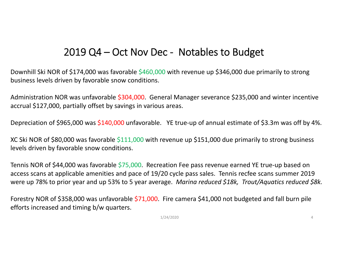### 2019 Q4 – Oct Nov Dec - Notables to Budget

Downhill Ski NOR of \$174,000 was favorable \$460,000 with revenue up \$346,000 due primarily to strong business levels driven by favorable snow conditions.

Administration NOR was unfavorable \$304,000. General Manager severance \$235,000 and winter incentive accrual \$127,000, partially offset by savings in various areas.

Depreciation of \$965,000 was \$140,000 unfavorable. YE true-up of annual estimate of \$3.3m was off by 4%.

XC Ski NOR of \$80,000 was favorable \$111,000 with revenue up \$151,000 due primarily to strong business levels driven by favorable snow conditions.

Tennis NOR of \$44,000 was favorable \$75,000. Recreation Fee pass revenue earned YE true-up based on access scans at applicable amenities and pace of 19/20 cycle pass sales. Tennis recfee scans summer 2019 were up 78% to prior year and up 53% to <sup>5</sup> year average. *Marina reduced \$18k, Trout/Aquatics reduced \$8k.*

Forestry NOR of \$358,000 was unfavorable \$71,000. Fire camera \$41,000 not budgeted and fall burn pile efforts increased and timing b/w quarters.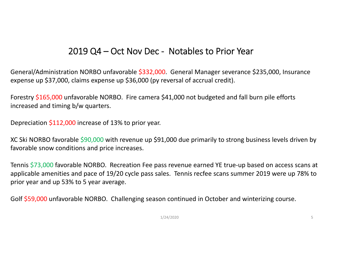### 2019 Q4 – Oct Nov Dec ‐ Notables to Prior Year

General/Administration NORBO unfavorable \$332,000. General Manager severance \$235,000, Insurance expense up \$37,000, claims expense up \$36,000 (py reversal of accrual credit).

Forestry \$165,000 unfavorable NORBO. Fire camera \$41,000 not budgeted and fall burn pile efforts increased and timing b/w quarters.

Depreciation \$112,000 increase of 13% to prior year.

XC Ski NORBO favorable \$90,000 with revenue up \$91,000 due primarily to strong business levels driven by favorable snow conditions and price increases.

Tennis \$73,000 favorable NORBO. Recreation Fee pass revenue earned YE true-up based on access scans at applicable amenities and pace of 19/20 cycle pass sales. Tennis recfee scans summer 2019 were up 78% to prior year and up 53% to 5 year average.

Golf \$59,000 unfavorable NORBO. Challenging season continued in October and winterizing course.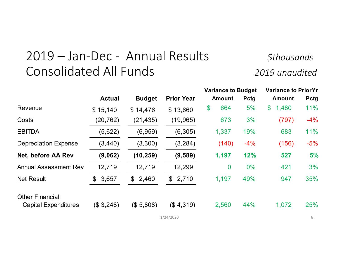### 2019 – Jan‐Dec ‐ Annual Results *\$thousands* Consolidated All Funds *<sup>2019</sup> unaudited*

|                              |                       |                       |                   | <b>Variance to Budget</b> |       | <b>Variance to PriorYr</b> |             |  |
|------------------------------|-----------------------|-----------------------|-------------------|---------------------------|-------|----------------------------|-------------|--|
|                              | <b>Actual</b>         | <b>Budget</b>         | <b>Prior Year</b> | <b>Amount</b>             | Pctg  | <b>Amount</b>              | <b>Pctg</b> |  |
| Revenue                      | \$15,140              | \$14,476              | \$13,660          | 664<br>\$                 | 5%    | 1,480<br>$\mathfrak{F}$    | 11%         |  |
| Costs                        | (20, 762)             | (21, 435)             | (19, 965)         | 673                       | 3%    | (797)                      | $-4%$       |  |
| <b>EBITDA</b>                | (5,622)               | (6,959)               | (6,305)           | 1,337                     | 19%   | 683                        | 11%         |  |
| <b>Depreciation Expense</b>  | (3, 440)              | (3,300)               | (3, 284)          | (140)                     | $-4%$ | (156)                      | $-5%$       |  |
| Net, before AA Rev           | (9,062)               | (10, 259)             | (9,589)           | 1,197                     | 12%   | 527                        | 5%          |  |
| <b>Annual Assessment Rev</b> | 12,719                | 12,719                | 12,299            | $\boldsymbol{0}$          | 0%    | 421                        | 3%          |  |
| <b>Net Result</b>            | 3,657<br>$\mathbb{S}$ | 2,460<br>$\mathbb{S}$ | \$2,710           | 1,197                     | 49%   | 947                        | 35%         |  |
| <b>Other Financial:</b>      |                       |                       |                   |                           |       |                            |             |  |
| <b>Capital Expenditures</b>  | (\$3,248)             | (\$5,808)             | (\$4,319)         | 2,560                     | 44%   | 1,072                      | 25%         |  |
|                              |                       |                       | 1/24/2020         |                           |       |                            | 6           |  |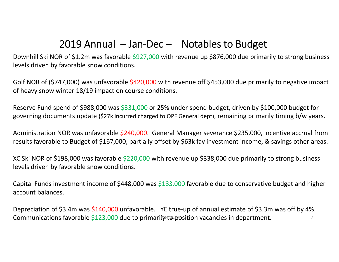### 2019 Annual – Jan‐Dec – Notables to Budget

Downhill Ski NOR of \$1.2m was favorable \$927,000 with revenue up \$876,000 due primarily to strong business levels driven by favorable snow conditions.

Golf NOR of (\$747,000) was unfavorable \$420,000 with revenue off \$453,000 due primarily to negative impact of heavy snow winter 18/19 impact on course conditions.

Reserve Fund spend of \$988,000 was \$331,000 or 25% under spend budget, driven by \$100,000 budget for governing documents update (\$27k incurred charged to OPF General dept), remaining primarily timing b/w years.

Administration NOR was unfavorable \$240,000. General Manager severance \$235,000, incentive accrual from results favorable to Budget of \$167,000, partially offset by \$63k fav investment income, & savings other areas.

XC Ski NOR of \$198,000 was favorable \$220,000 with revenue up \$338,000 due primarily to strong business levels driven by favorable snow conditions.

Capital Funds investment income of \$448,000 was \$183,000 favorable due to conservative budget and higher account balances.

Depreciation of \$3.4m was \$140,000 unfavorable. YE true-up of annual estimate of \$3.3m was off by 4%. Communications favorable \$123,000 due to primarily to position vacancies in department.  $1/2$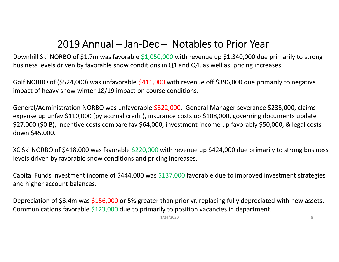### 2019 Annual – Jan‐Dec – Notables to Prior Year

Downhill Ski NORBO of \$1.7m was favorable \$1,050,000 with revenue up \$1,340,000 due primarily to strong business levels driven by favorable snow conditions in Q1 and Q4, as well as, pricing increases.

Golf NORBO of (\$524,000) was unfavorable \$411,000 with revenue off \$396,000 due primarily to negative impact of heavy snow winter 18/19 impact on course conditions.

General/Administration NORBO was unfavorable \$322,000. General Manager severance \$235,000, claims expense up unfav \$110,000 (py accrual credit), insurance costs up \$108,000, governing documents update \$27,000 (\$0 B); incentive costs compare fav \$64,000, investment income up favorably \$50,000, & legal costs down \$45,000.

XC Ski NORBO of \$418,000 was favorable \$220,000 with revenue up \$424,000 due primarily to strong business levels driven by favorable snow conditions and pricing increases.

Capital Funds investment income of \$444,000 was \$137,000 favorable due to improved investment strategies and higher account balances.

Depreciation of \$3.4m was \$156,000 or 5% greater than prior yr, replacing fully depreciated with new assets. Communications favorable \$123,000 due to primarily to position vacancies in department.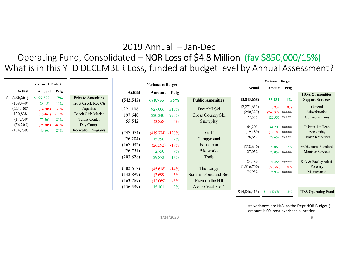### 2019 Annual – Jan‐Dec

### Operating Fund, Consolidated – NOR Loss of \$4.8 Million (fav \$850,000/15%) What is in this YTD DECEMBER Loss, funded at budget level by Annual Assessment?

|                                                                            |                                                                 |                                                  |                                                                                                                         |                                                                                                                             |                                                                                                            |                                                                                     |                                                                                                                                                     |                                                                                                                                  | <b>Variance to Budget</b>                                                                                                                                                                        |                                                                                                                                                                                                                  |
|----------------------------------------------------------------------------|-----------------------------------------------------------------|--------------------------------------------------|-------------------------------------------------------------------------------------------------------------------------|-----------------------------------------------------------------------------------------------------------------------------|------------------------------------------------------------------------------------------------------------|-------------------------------------------------------------------------------------|-----------------------------------------------------------------------------------------------------------------------------------------------------|----------------------------------------------------------------------------------------------------------------------------------|--------------------------------------------------------------------------------------------------------------------------------------------------------------------------------------------------|------------------------------------------------------------------------------------------------------------------------------------------------------------------------------------------------------------------|
|                                                                            | <b>Variance to Budget</b>                                       |                                                  |                                                                                                                         |                                                                                                                             | <b>Variance to Budget</b>                                                                                  |                                                                                     |                                                                                                                                                     | Actual                                                                                                                           | Amount Petg                                                                                                                                                                                      |                                                                                                                                                                                                                  |
| Actual                                                                     | Amount                                                          | Pctg                                             |                                                                                                                         | Actual                                                                                                                      | Amount                                                                                                     | Petg                                                                                |                                                                                                                                                     |                                                                                                                                  |                                                                                                                                                                                                  | <b>HOA &amp; Amenities</b>                                                                                                                                                                                       |
| (460, 201)                                                                 | 97,599                                                          | 17%                                              | <b>Private Amenities</b>                                                                                                | (542, 545)                                                                                                                  | 698,755                                                                                                    | 56%                                                                                 | <b>Public Amenities</b>                                                                                                                             | (3,843,668)                                                                                                                      | 53,232<br>$1\%$                                                                                                                                                                                  | <b>Support Services</b>                                                                                                                                                                                          |
| (159, 449)<br>(223, 408)<br>130,838<br>(17, 739)<br>(56,205)<br>(134, 239) | 28,151<br>(14,208)<br>(16, 462)<br>75,561<br>(25,305)<br>49,861 | 15%<br>$-7\%$<br>$-11\%$<br>81%<br>$-82%$<br>27% | Trout Creek Rec Ctr<br><b>Aquatics</b><br>Beach Club Marina<br>Tennis Center<br>Day Camps<br><b>Recreation Programs</b> | ,221,106<br>197,640<br>55,542<br>(747, 074)<br>(26, 204)<br>(167,092)<br>(26,751)<br>(203, 828)<br>(382, 618)<br>(142, 899) | 927,006<br>220,240<br>(3,858)<br>(419,774)<br>15,396<br>(26,592)<br>2,750<br>29,872<br>(45,618)<br>(3,699) | 315%<br>975%<br>$-6\%$<br>$-128%$<br>37%<br>$-19%$<br>9%<br>13%<br>$-14\%$<br>$-3%$ | Downhill Ski<br>Cross Country Ski<br>Snowplay<br>Golf<br>Campground<br>Equestrian<br><b>Bikeworks</b><br>Trails<br>The Lodge<br>Summer Food and Bev | (2,271,633)<br>(240, 327)<br>122,555<br>64,203<br>(19, 189)<br>28,652<br>(338, 640)<br>27,052<br>24,486<br>(1,316,760)<br>75,932 | (3,833)<br>0%<br>$(240,327)$ #####<br>122,555 #####<br>64,203 #####<br>$(19,189)$ #####<br>28,652 #####<br>27,060<br>$7\%$<br>27,052 #####<br>24,486 #####<br>(53,360)<br>$-4\%$<br>75,932 ##### | General<br>Administration<br>Communications<br><b>Information Tech</b><br>Accounting<br>Human Resources<br><b>Architectural Standards</b><br>Member Services<br>Risk & Facility Admin<br>Forestry<br>Maintenance |
|                                                                            |                                                                 |                                                  |                                                                                                                         | (163, 769)                                                                                                                  | (12,069)                                                                                                   | $-8%$                                                                               | Pizza on the Hill                                                                                                                                   |                                                                                                                                  |                                                                                                                                                                                                  |                                                                                                                                                                                                                  |
|                                                                            |                                                                 |                                                  |                                                                                                                         | (156, 599)                                                                                                                  | 15,101                                                                                                     | 9%                                                                                  | Alder Creek Café                                                                                                                                    |                                                                                                                                  |                                                                                                                                                                                                  |                                                                                                                                                                                                                  |
|                                                                            |                                                                 |                                                  |                                                                                                                         |                                                                                                                             |                                                                                                            |                                                                                     |                                                                                                                                                     | \$ (4,846,415)                                                                                                                   | 849,585<br>15%<br>-S                                                                                                                                                                             | <b>TDA Operating Fund</b>                                                                                                                                                                                        |

## variances are N/A, as the Dept NOR Budget \$ amount is \$0, post‐overhead allocation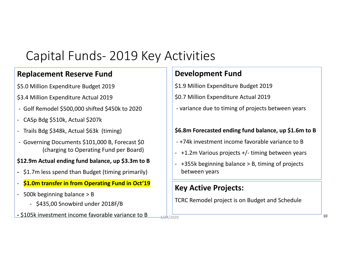### Capital Funds‐ 2019 Key Activities

### **Replacement Reserve Fund**

- \$5.0 Million Expenditure Budget 2019
- \$3.4 Million Expenditure Actual 2019
- ‐ Golf Remodel \$500,000 shifted \$450k to 2020
- ‐CASp Bdg \$510k, Actual \$207k
- ‐ Trails Bdg \$348k, Actual \$63k (timing)
- ‐ Governing Documents \$101,000 B, Forecast \$0 (charging to Operating Fund per Board)

#### **\$12.9m Actual ending fund balance, up \$3.3m to <sup>B</sup>**

- **‐** \$1.7m less spend than Budget (timing primarily)
- ‐**\$1.0m transfer in from Operating Fund in Oct'19**
- ‐ 500k beginning balance <sup>&</sup>gt; B
	- \$435,00 Snowbird under 2018F/B
- **\$105k investment income favorable variance to B**  $\frac{1}{2}$  **100200** 100200 10020 10020 10020 10020 10020 10020 100

### **Development Fund**

- \$1.9 Million Expenditure Budget 2019
- \$0.7 Million Expenditure Actual 2019
- ‐ variance due to timing of projects between years

#### **\$6.8m Forecasted ending fund balance, up \$1.6m to <sup>B</sup>**

- ‐ +74k investment income favorable variance to B
- ‐ +1.2m Various projects +/‐ timing between years
- ‐ +355k beginning balance <sup>&</sup>gt; B, timing of projects between years

### **Key Active Projects:**

TCRC Remodel project is on Budget and Schedule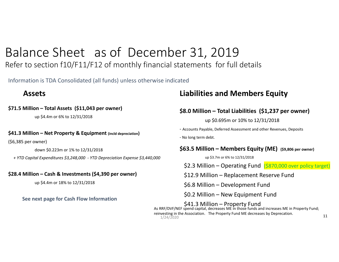### Balance Sheet as of December 31, 2019

### Refer to section f10/F11/F12 of monthly financial statements for full details

Information is TDA Consolidated (all funds) unless otherwise indicated

### **Assets**

#### **\$71.5 Million – Total Assets (\$11,043 per owner)**

up \$4.4m or 6% to 12/31/2018

#### **\$41.3 Million – Net Property & Equipment (incld depreciation)**

(\$6,385 per owner)

down \$0.223m or 1% to 12/31/2018

*+ YTD Capital Expenditures \$3,248,000 ‐ YTD Depreciation Expense \$3,440,000*

#### **\$28.4 Million – Cash & Investments (\$4,390 per owner)**

up \$4.4m or 18% to 12/31/2018

**See next page for Cash Flow Information**

### **Liabilities and Members Equity**

#### **\$8.0 Million – Total Liabilities (\$1,237 per owner)**

up \$0.695m or 10% to 12/31/2018

‐ Accounts Payable, Deferred Assessment and other Revenues, Deposits

‐ No long term debt.

#### **\$63.5 Million – Members Equity (ME) (\$9,806 per owner)**

up \$3.7m or 6% to 12/31/2018

\$2.3 Million – Operating Fund (\$870,000 over policy target)

\$12.9 Million – Replacement Reserve Fund

\$6.8 Million – Development Fund

\$0.2 Million – New Equipment Fund

\$41.3 Million – Property Fund<br>As RRF/DVF/NEF spend capital, decreases ME in those funds and increases ME in Property Fund; reinvesting in the Association. The Property Fund ME decreases by Deprecation.<br> $1/24/2020$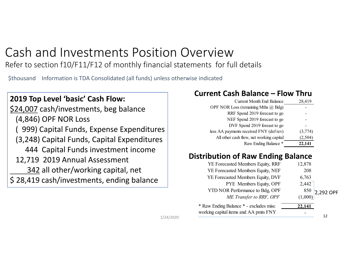### Cash and Investments Position Overview

Refer to section f10/F11/F12 of monthly financial statements for full details

\$thousand Information is TDA Consolidated (all funds) unless otherwise indicated

### **2019 Top Level 'basic' Cash Flow:**

\$24,007 cash/investments, beg balance (4,846) OPF NOR Loss ( 999) Capital Funds, Expense Expenditures

- (3,248) Capital Funds, Capital Expenditures
- 444 Capital Funds investment income
- 12,719 2019 Annual Assessment
	- 342 all other/working capital, net
- \$ 28,419 cash/investments, ending balance

### **Current Cash Balance – Flow Thru**

| <b>Current Month End Balance</b>         | 28,419  |
|------------------------------------------|---------|
| OPF NOR Loss (remaining Mths $(a)$ Bdg)  |         |
| RRF Spend 2019 forecast to go            |         |
| NEF Spend 2019 forecast to go            |         |
| DVF Spend 2019 foreast to go             |         |
| less AA payments received FNY (def rev)  | (3,774) |
| All other cash flow, net working capital | (2,504) |
| Raw Ending Balance *                     | 22,141  |

### **Distribution of Raw Ending Balance**

| YE Forecasted Members Equity, RRF      | 12,878 |                                              |
|----------------------------------------|--------|----------------------------------------------|
| YE Forecasted Members Equity, NEF      | 208    |                                              |
| YE Forecasted Members Equity, DVF      | 6,763  |                                              |
| PYE Members Equity, OPF                | 2,442  |                                              |
| YTD NOR Performance to Bdg, OPF        |        |                                              |
| ME Transfer to RRF, OPF                |        | $\left.\frac{850}{(1,000)}\right]$ 2,292 OPF |
| * Raw Ending Balance * - excludes misc | 22,141 |                                              |
| working capital items and AA pmts FNY  |        |                                              |